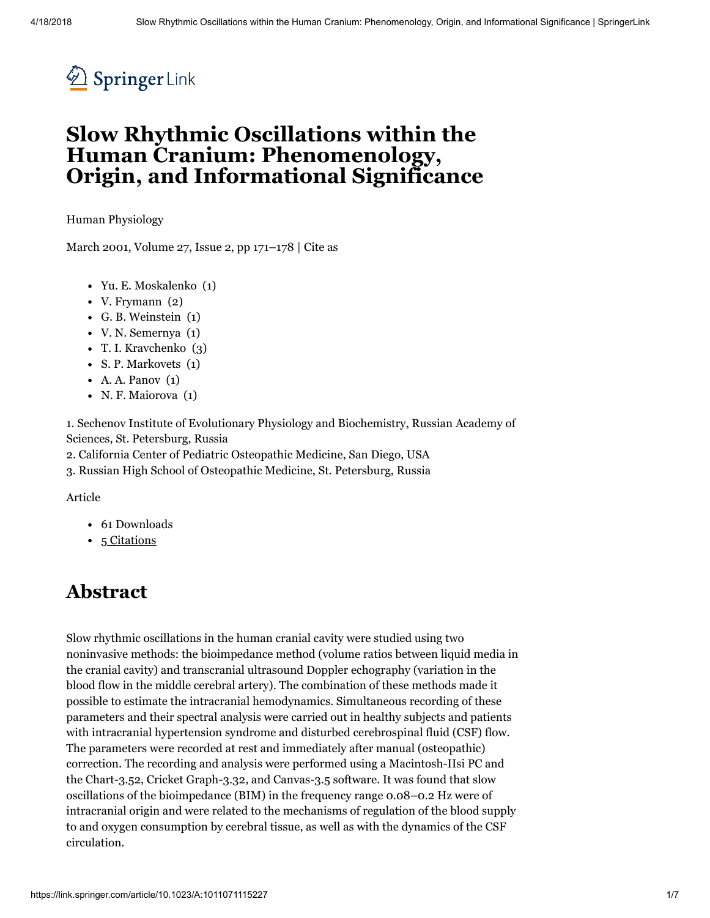

# Slow Rhythmic Oscillations within the Human Cranium: Phenomenology, Origin, and Informational Significance

Human [Physiology](https://link.springer.com/journal/10747)

March 2001, Volume 27, [Issue](https://link.springer.com/journal/10747/27/2/page/1) 2, pp 171–178 | [Cite](#page-5-0) as

- Yu. E. Moskalenko (1)
- V. Frymann (2)
- G. B. Weinstein (1)
- V. N. Semernya (1)
- T. I. Kravchenko (3)
- S. P. Markovets (1)
- $\bullet$  A. A. Panov  $(1)$
- N. F. Maiorova (1)

1. Sechenov Institute of Evolutionary Physiology and Biochemistry, Russian Academy of Sciences, St. Petersburg, Russia

2. California Center of Pediatric Osteopathic Medicine, San Diego, USA

3. Russian High School of Osteopathic Medicine, St. Petersburg, Russia

Article

- 61 Downloads
- 5 [Citations](https://citations.springer.com/item?doi=10.1023/A:1011071115227)

#### Abstract

Slow rhythmic oscillations in the human cranial cavity were studied using two noninvasive methods: the bioimpedance method (volume ratios between liquid media in the cranial cavity) and transcranial ultrasound Doppler echography (variation in the blood flow in the middle cerebral artery). The combination of these methods made it possible to estimate the intracranial hemodynamics. Simultaneous recording of these parameters and their spectral analysis were carried out in healthy subjects and patients with intracranial hypertension syndrome and disturbed cerebrospinal fluid (CSF) flow. The parameters were recorded at rest and immediately after manual (osteopathic) correction. The recording and analysis were performed using a Macintosh-IIsi PC and the Chart-3.52, Cricket Graph-3.32, and Canvas-3.5 software. It was found that slow oscillations of the bioimpedance (BIM) in the frequency range 0.08–0.2 Hz were of intracranial origin and were related to the mechanisms of regulation of the blood supply to and oxygen consumption by cerebral tissue, as well as with the dynamics of the CSF circulation.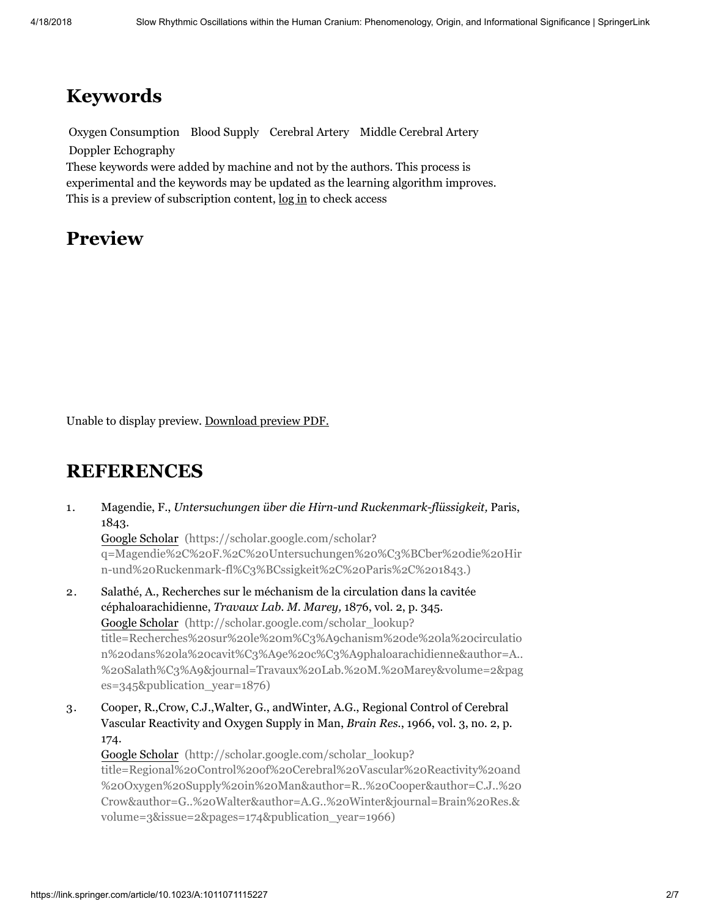# Keywords

Oxygen Consumption Blood Supply Cerebral Artery Middle Cerebral Artery Doppler Echography

These keywords were added by machine and not by the authors. This process is experimental and the keywords may be updated as the learning algorithm improves. This is a preview of subscription content, [log](https://link.springer.com/signup-login?previousUrl=https%3A%2F%2Flink.springer.com%2Farticle%2F10.1023%2FA%3A1011071115227) in to check access

### Preview

Unable to display preview. [Download](https://page-one.live.cf.public.springer.com/pdf/preview/10.1023/A:1011071115227) preview PDF.

#### **REFERENCES**

1. 2. Magendie, F., *Untersuchungen über die Hirn-und Ruckenmark-flüssigkeit,* Paris, 1843. Google Scholar (https://scholar.google.com/scholar? [q=Magendie%2C%20F.%2C%20Untersuchungen%20%C3%BCber%20die%20Hir](https://scholar.google.com/scholar?q=Magendie%2C%20F.%2C%20Untersuchungen%20%C3%BCber%20die%20Hirn-und%20Ruckenmark-fl%C3%BCssigkeit%2C%20Paris%2C%201843.) n-und%20Ruckenmark-fl%C3%BCssigkeit%2C%20Paris%2C%201843.) Salathé, A., Recherches sur le méchanism de la circulation dans la cavitée céphaloarachidienne, *Travaux Lab. M. Marey,* 1876, vol. 2, p. 345. Google Scholar (http://scholar.google.com/scholar\_lookup?

title=Recherches%20sur%20le%20m%C3%A9chanism%20de%20la%20circulatio [n%20dans%20la%20cavit%C3%A9e%20c%C3%A9phaloarachidienne&author=A..](http://scholar.google.com/scholar_lookup?title=Recherches%20sur%20le%20m%C3%A9chanism%20de%20la%20circulation%20dans%20la%20cavit%C3%A9e%20c%C3%A9phaloarachidienne&author=A..%20Salath%C3%A9&journal=Travaux%20Lab.%20M.%20Marey&volume=2&pages=345&publication_year=1876) %20Salath%C3%A9&journal=Travaux%20Lab.%20M.%20Marey&volume=2&pag es=345&publication\_year=1876)

3. Cooper, R.,Crow, C.J.,Walter, G., andWinter, A.G., Regional Control of Cerebral Vascular Reactivity and Oxygen Supply in Man, *Brain Res.*, 1966, vol. 3, no. 2, p. 174.

Google Scholar (http://scholar.google.com/scholar\_lookup? title=Regional%20Control%20of%20Cerebral%20Vascular%20Reactivity%20and [%20Oxygen%20Supply%20in%20Man&author=R..%20Cooper&author=C.J..%20](http://scholar.google.com/scholar_lookup?title=Regional%20Control%20of%20Cerebral%20Vascular%20Reactivity%20and%20Oxygen%20Supply%20in%20Man&author=R..%20Cooper&author=C.J..%20Crow&author=G..%20Walter&author=A.G..%20Winter&journal=Brain%20Res.&volume=3&issue=2&pages=174&publication_year=1966) Crow&author=G..%20Walter&author=A.G..%20Winter&journal=Brain%20Res.& volume=3&issue=2&pages=174&publication\_year=1966)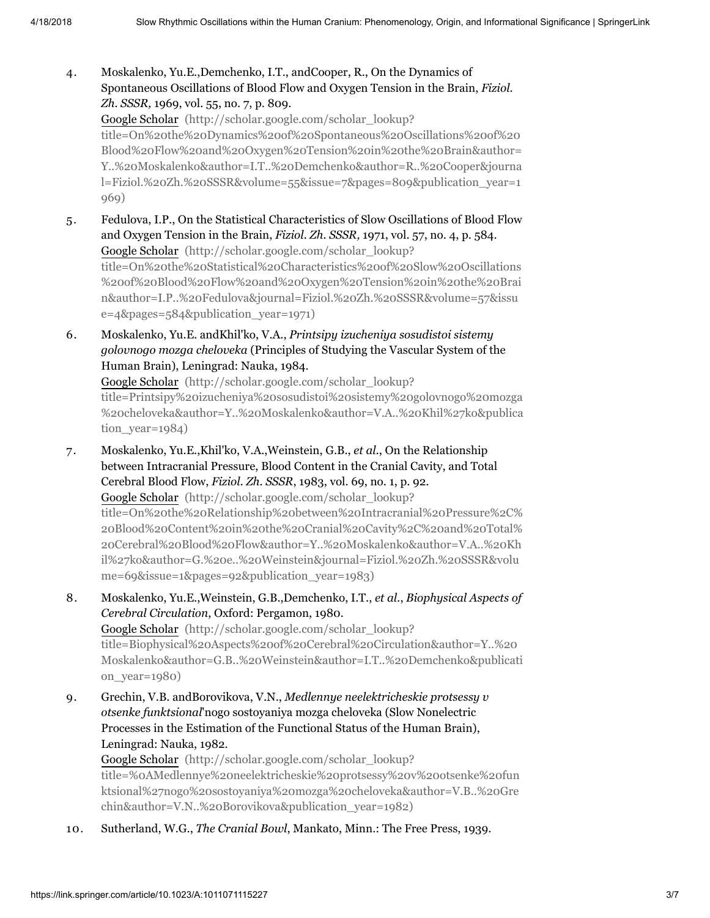4. Moskalenko, Yu.E.,Demchenko, I.T., andCooper, R., On the Dynamics of Spontaneous Oscillations of Blood Flow and Oxygen Tension in the Brain, *Fiziol. Zh. SSSR,* 1969, vol. 55, no. 7, p. 809.

Google Scholar (http://scholar.google.com/scholar\_lookup? title=On%20the%20Dynamics%20of%20Spontaneous%20Oscillations%20of%20 [Blood%20Flow%20and%20Oxygen%20Tension%20in%20the%20Brain&author=](http://scholar.google.com/scholar_lookup?title=On%20the%20Dynamics%20of%20Spontaneous%20Oscillations%20of%20Blood%20Flow%20and%20Oxygen%20Tension%20in%20the%20Brain&author=Y..%20Moskalenko&author=I.T..%20Demchenko&author=R..%20Cooper&journal=Fiziol.%20Zh.%20SSSR&volume=55&issue=7&pages=809&publication_year=1969) Y..%20Moskalenko&author=I.T..%20Demchenko&author=R..%20Cooper&journa l=Fiziol.%20Zh.%20SSSR&volume=55&issue=7&pages=809&publication\_year=1 969)

5. Fedulova, I.P., On the Statistical Characteristics of Slow Oscillations of Blood Flow and Oxygen Tension in the Brain, *Fiziol. Zh. SSSR,* 1971, vol. 57, no. 4, p. 584. Google Scholar (http://scholar.google.com/scholar\_lookup? title=On%20the%20Statistical%20Characteristics%20of%20Slow%20Oscillations [%20of%20Blood%20Flow%20and%20Oxygen%20Tension%20in%20the%20Brai](http://scholar.google.com/scholar_lookup?title=On%20the%20Statistical%20Characteristics%20of%20Slow%20Oscillations%20of%20Blood%20Flow%20and%20Oxygen%20Tension%20in%20the%20Brain&author=I.P..%20Fedulova&journal=Fiziol.%20Zh.%20SSSR&volume=57&issue=4&pages=584&publication_year=1971) n&author=I.P..%20Fedulova&journal=Fiziol.%20Zh.%20SSSR&volume=57&issu e=4&pages=584&publication\_year=1971)

6. Moskalenko, Yu.E. andKhil'ko, V.A., *Printsipy izucheniya sosudistoi sistemy golovnogo mozga cheloveka* (Principles of Studying the Vascular System of the Human Brain), Leningrad: Nauka, 1984.

Google Scholar (http://scholar.google.com/scholar\_lookup? title=Printsipy%20izucheniya%20sosudistoi%20sistemy%20golovnogo%20mozga [%20cheloveka&author=Y..%20Moskalenko&author=V.A..%20Khil%27ko&publica](http://scholar.google.com/scholar_lookup?title=Printsipy%20izucheniya%20sosudistoi%20sistemy%20golovnogo%20mozga%20cheloveka&author=Y..%20Moskalenko&author=V.A..%20Khil%27ko&publication_year=1984) tion year=1984)

- 7. Moskalenko, Yu.E.,Khil'ko, V.A.,Weinstein, G.B., *et al.*, On the Relationship between Intracranial Pressure, Blood Content in the Cranial Cavity, and Total Cerebral Blood Flow, *Fiziol. Zh. SSSR*, 1983, vol. 69, no. 1, p. 92. Google Scholar (http://scholar.google.com/scholar\_lookup? [title=On%20the%20Relationship%20between%20Intracranial%20Pressure%2C%](http://scholar.google.com/scholar_lookup?title=On%20the%20Relationship%20between%20Intracranial%20Pressure%2C%20Blood%20Content%20in%20the%20Cranial%20Cavity%2C%20and%20Total%20Cerebral%20Blood%20Flow&author=Y..%20Moskalenko&author=V.A..%20Khil%27ko&author=G.%20e..%20Weinstein&journal=Fiziol.%20Zh.%20SSSR&volume=69&issue=1&pages=92&publication_year=1983) 20Blood%20Content%20in%20the%20Cranial%20Cavity%2C%20and%20Total% 20Cerebral%20Blood%20Flow&author=Y..%20Moskalenko&author=V.A..%20Kh il%27ko&author=G.%20e..%20Weinstein&journal=Fiziol.%20Zh.%20SSSR&volu me=69&issue=1&pages=92&publication\_year=1983)
- 8. Moskalenko, Yu.E.,Weinstein, G.B.,Demchenko, I.T., *et al.*, *Biophysical Aspects of Cerebral Circulation*, Oxford: Pergamon, 1980. Google Scholar (http://scholar.google.com/scholar\_lookup? title=Biophysical%20Aspects%20of%20Cerebral%20Circulation&author=Y..%20 [Moskalenko&author=G.B..%20Weinstein&author=I.T..%20Demchenko&publicati](http://scholar.google.com/scholar_lookup?title=Biophysical%20Aspects%20of%20Cerebral%20Circulation&author=Y..%20Moskalenko&author=G.B..%20Weinstein&author=I.T..%20Demchenko&publication_year=1980) on\_year=1980)
- 9. Grechin, V.B. andBorovikova, V.N., *Medlennye neelektricheskie protsessy v otsenke funktsional*'nogo sostoyaniya mozga cheloveka (Slow Nonelectric Processes in the Estimation of the Functional Status of the Human Brain), Leningrad: Nauka, 1982.

Google Scholar (http://scholar.google.com/scholar\_lookup? [title=%0AMedlennye%20neelektricheskie%20protsessy%20v%20otsenke%20fun](http://scholar.google.com/scholar_lookup?title=%0AMedlennye%20neelektricheskie%20protsessy%20v%20otsenke%20funktsional%27nogo%20sostoyaniya%20mozga%20cheloveka&author=V.B..%20Grechin&author=V.N..%20Borovikova&publication_year=1982) ktsional%27nogo%20sostoyaniya%20mozga%20cheloveka&author=V.B..%20Gre chin&author=V.N..%20Borovikova&publication\_year=1982)

10. Sutherland, W.G., *The Cranial Bowl*, Mankato, Minn.: The Free Press, 1939.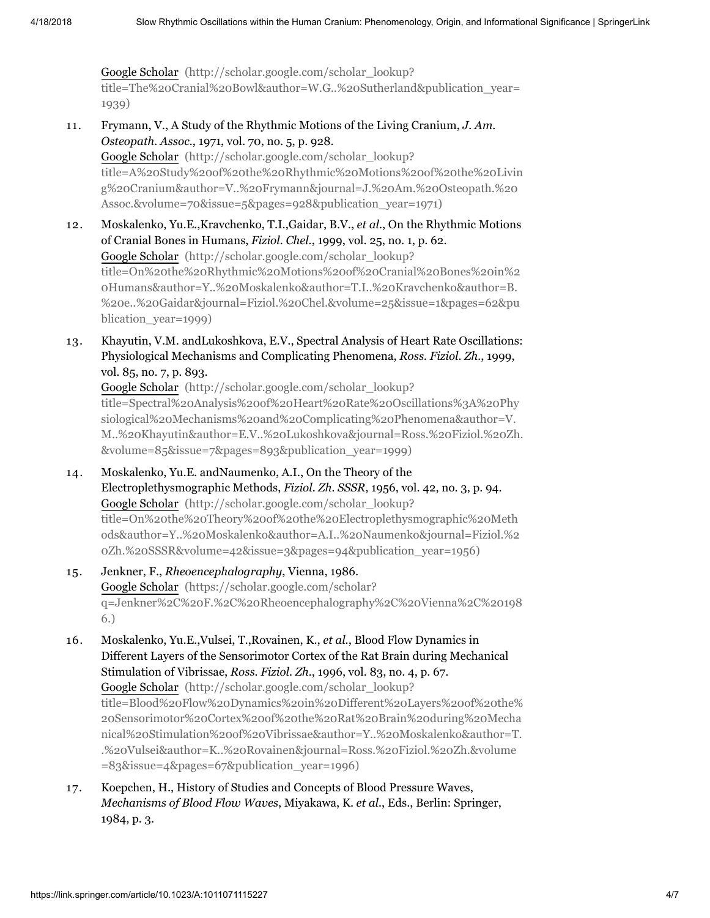Google Scholar (http://scholar.google.com/scholar\_lookup? [title=The%20Cranial%20Bowl&author=W.G..%20Sutherland&publication\\_year=](http://scholar.google.com/scholar_lookup?title=The%20Cranial%20Bowl&author=W.G..%20Sutherland&publication_year=1939) 1939)

- 11. Frymann, V., A Study of the Rhythmic Motions of the Living Cranium, *J. Am. Osteopath. Assoc.*, 1971, vol. 70, no. 5, p. 928. Google Scholar (http://scholar.google.com/scholar\_lookup? [title=A%20Study%20of%20the%20Rhythmic%20Motions%20of%20the%20Livin](http://scholar.google.com/scholar_lookup?title=A%20Study%20of%20the%20Rhythmic%20Motions%20of%20the%20Living%20Cranium&author=V..%20Frymann&journal=J.%20Am.%20Osteopath.%20Assoc.&volume=70&issue=5&pages=928&publication_year=1971) g%20Cranium&author=V..%20Frymann&journal=J.%20Am.%20Osteopath.%20 Assoc.&volume=70&issue=5&pages=928&publication\_year=1971)
- 12. Moskalenko, Yu.E.,Kravchenko, T.I.,Gaidar, B.V., *et al.*, On the Rhythmic Motions of Cranial Bones in Humans, *Fiziol. Chel.*, 1999, vol. 25, no. 1, p. 62. Google Scholar (http://scholar.google.com/scholar\_lookup? [title=On%20the%20Rhythmic%20Motions%20of%20Cranial%20Bones%20in%2](http://scholar.google.com/scholar_lookup?title=On%20the%20Rhythmic%20Motions%20of%20Cranial%20Bones%20in%20Humans&author=Y..%20Moskalenko&author=T.I..%20Kravchenko&author=B.%20e..%20Gaidar&journal=Fiziol.%20Chel.&volume=25&issue=1&pages=62&publication_year=1999) 0Humans&author=Y..%20Moskalenko&author=T.I..%20Kravchenko&author=B. %20e..%20Gaidar&journal=Fiziol.%20Chel.&volume=25&issue=1&pages=62&pu blication\_year=1999)
- 13. Khayutin, V.M. andLukoshkova, E.V., Spectral Analysis of Heart Rate Oscillations: Physiological Mechanisms and Complicating Phenomena, *Ross. Fiziol. Zh.*, 1999, vol. 85, no. 7, p. 893.

Google Scholar (http://scholar.google.com/scholar\_lookup? title=Spectral%20Analysis%20of%20Heart%20Rate%20Oscillations%3A%20Phy siological%20Mechanisms%20and%20Complicating%20Phenomena&author=V. [M..%20Khayutin&author=E.V..%20Lukoshkova&journal=Ross.%20Fiziol.%20Zh.](http://scholar.google.com/scholar_lookup?title=Spectral%20Analysis%20of%20Heart%20Rate%20Oscillations%3A%20Physiological%20Mechanisms%20and%20Complicating%20Phenomena&author=V.M..%20Khayutin&author=E.V..%20Lukoshkova&journal=Ross.%20Fiziol.%20Zh.&volume=85&issue=7&pages=893&publication_year=1999) &volume=85&issue=7&pages=893&publication\_year=1999)

- 14. Moskalenko, Yu.E. andNaumenko, A.I., On the Theory of the Electroplethysmographic Methods, *Fiziol. Zh. SSSR*, 1956, vol. 42, no. 3, p. 94. Google Scholar (http://scholar.google.com/scholar\_lookup? title=On%20the%20Theory%20of%20the%20Electroplethysmographic%20Meth [ods&author=Y..%20Moskalenko&author=A.I..%20Naumenko&journal=Fiziol.%2](http://scholar.google.com/scholar_lookup?title=On%20the%20Theory%20of%20the%20Electroplethysmographic%20Methods&author=Y..%20Moskalenko&author=A.I..%20Naumenko&journal=Fiziol.%20Zh.%20SSSR&volume=42&issue=3&pages=94&publication_year=1956) 0Zh.%20SSSR&volume=42&issue=3&pages=94&publication\_year=1956)
- 15. Jenkner, F., *Rheoencephalography*, Vienna, 1986. Google Scholar (https://scholar.google.com/scholar? [q=Jenkner%2C%20F.%2C%20Rheoencephalography%2C%20Vienna%2C%20198](https://scholar.google.com/scholar?q=Jenkner%2C%20F.%2C%20Rheoencephalography%2C%20Vienna%2C%201986.) 6.)
- 16. Moskalenko, Yu.E.,Vulsei, T.,Rovainen, K., *et al.*, Blood Flow Dynamics in Different Layers of the Sensorimotor Cortex of the Rat Brain during Mechanical Stimulation of Vibrissae, *Ross. Fiziol. Zh.*, 1996, vol. 83, no. 4, p. 67. Google Scholar (http://scholar.google.com/scholar\_lookup? [title=Blood%20Flow%20Dynamics%20in%20Different%20Layers%20of%20the%](http://scholar.google.com/scholar_lookup?title=Blood%20Flow%20Dynamics%20in%20Different%20Layers%20of%20the%20Sensorimotor%20Cortex%20of%20the%20Rat%20Brain%20during%20Mechanical%20Stimulation%20of%20Vibrissae&author=Y..%20Moskalenko&author=T..%20Vulsei&author=K..%20Rovainen&journal=Ross.%20Fiziol.%20Zh.&volume=83&issue=4&pages=67&publication_year=1996) 20Sensorimotor%20Cortex%20of%20the%20Rat%20Brain%20during%20Mecha nical%20Stimulation%20of%20Vibrissae&author=Y..%20Moskalenko&author=T. .%20Vulsei&author=K..%20Rovainen&journal=Ross.%20Fiziol.%20Zh.&volume =83&issue=4&pages=67&publication\_year=1996)
- 17. Koepchen, H., History of Studies and Concepts of Blood Pressure Waves, *Mechanisms of Blood Flow Waves*, Miyakawa, K. *et al.*, Eds., Berlin: Springer, 1984, p. 3.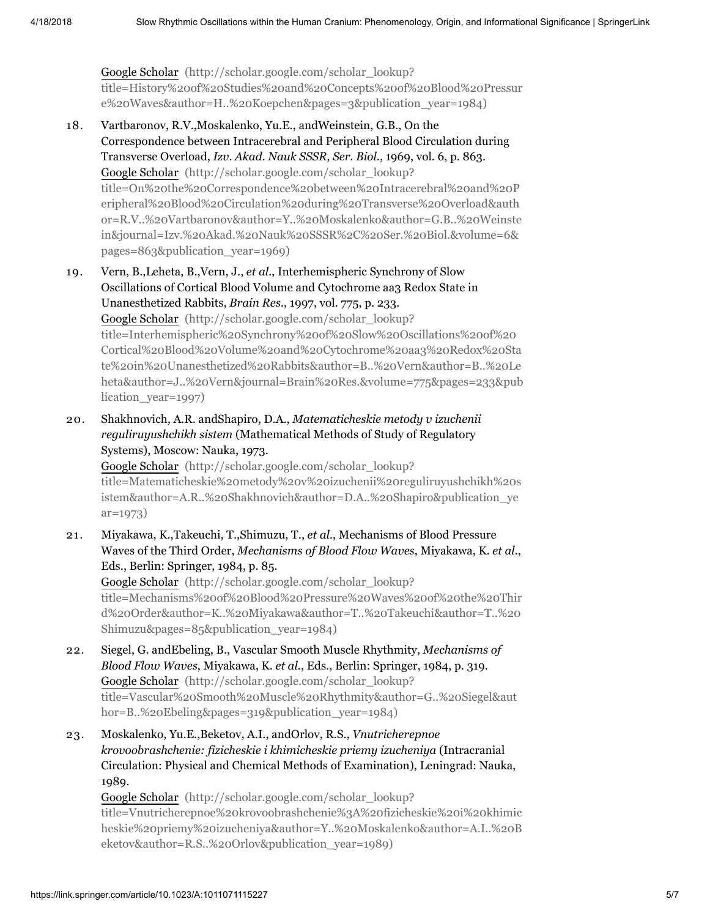Google Scholar (http://scholar.google.com/scholar\_lookup? [title=History%20of%20Studies%20and%20Concepts%20of%20Blood%20Pressur](http://scholar.google.com/scholar_lookup?title=History%20of%20Studies%20and%20Concepts%20of%20Blood%20Pressure%20Waves&author=H..%20Koepchen&pages=3&publication_year=1984) e%20Waves&author=H..%20Koepchen&pages=3&publication\_year=1984)

- 18. Vartbaronov, R.V.,Moskalenko, Yu.E., andWeinstein, G.B., On the Correspondence between Intracerebral and Peripheral Blood Circulation during Transverse Overload, *Izv. Akad. Nauk SSSR, Ser. Biol.*, 1969, vol. 6, p. 863. Google Scholar (http://scholar.google.com/scholar\_lookup? title=On%20the%20Correspondence%20between%20Intracerebral%20and%20P eripheral%20Blood%20Circulation%20during%20Transverse%20Overload&auth [or=R.V..%20Vartbaronov&author=Y..%20Moskalenko&author=G.B..%20Weinste](http://scholar.google.com/scholar_lookup?title=On%20the%20Correspondence%20between%20Intracerebral%20and%20Peripheral%20Blood%20Circulation%20during%20Transverse%20Overload&author=R.V..%20Vartbaronov&author=Y..%20Moskalenko&author=G.B..%20Weinstein&journal=Izv.%20Akad.%20Nauk%20SSSR%2C%20Ser.%20Biol.&volume=6&pages=863&publication_year=1969) in&journal=Izv.%20Akad.%20Nauk%20SSSR%2C%20Ser.%20Biol.&volume=6& pages=863&publication\_year=1969)
- 19. Vern, B.,Leheta, B.,Vern, J., *et al.*, Interhemispheric Synchrony of Slow Oscillations of Cortical Blood Volume and Cytochrome aa3 Redox State in Unanesthetized Rabbits, *Brain Res.*, 1997, vol. 775, p. 233. Google Scholar (http://scholar.google.com/scholar\_lookup? title=Interhemispheric%20Synchrony%20of%20Slow%20Oscillations%20of%20 Cortical%20Blood%20Volume%20and%20Cytochrome%20aa3%20Redox%20Sta te%20in%20Unanesthetized%20Rabbits&author=B..%20Vern&author=B..%20Le [heta&author=J..%20Vern&journal=Brain%20Res.&volume=775&pages=233&pub](http://scholar.google.com/scholar_lookup?title=Interhemispheric%20Synchrony%20of%20Slow%20Oscillations%20of%20Cortical%20Blood%20Volume%20and%20Cytochrome%20aa3%20Redox%20State%20in%20Unanesthetized%20Rabbits&author=B..%20Vern&author=B..%20Leheta&author=J..%20Vern&journal=Brain%20Res.&volume=775&pages=233&publication_year=1997) lication\_year=1997)
- 20. Shakhnovich, A.R. andShapiro, D.A., *Matematicheskie metody v izuchenii reguliruyushchikh sistem* (Mathematical Methods of Study of Regulatory Systems), Moscow: Nauka, 1973.

Google Scholar (http://scholar.google.com/scholar\_lookup? [title=Matematicheskie%20metody%20v%20izuchenii%20reguliruyushchikh%20s](http://scholar.google.com/scholar_lookup?title=Matematicheskie%20metody%20v%20izuchenii%20reguliruyushchikh%20sistem&author=A.R..%20Shakhnovich&author=D.A..%20Shapiro&publication_year=1973) istem&author=A.R..%20Shakhnovich&author=D.A..%20Shapiro&publication\_ye ar=1973)

21. Miyakawa, K.,Takeuchi, T.,Shimuzu, T., *et al.*, Mechanisms of Blood Pressure Waves of the Third Order, *Mechanisms of Blood Flow Waves*, Miyakawa, K. *et al.*, Eds., Berlin: Springer, 1984, p. 85.

Google Scholar (http://scholar.google.com/scholar\_lookup? [title=Mechanisms%20of%20Blood%20Pressure%20Waves%20of%20the%20Thir](http://scholar.google.com/scholar_lookup?title=Mechanisms%20of%20Blood%20Pressure%20Waves%20of%20the%20Third%20Order&author=K..%20Miyakawa&author=T..%20Takeuchi&author=T..%20Shimuzu&pages=85&publication_year=1984) d%20Order&author=K..%20Miyakawa&author=T..%20Takeuchi&author=T..%20 Shimuzu&pages=85&publication\_year=1984)

- 22. Siegel, G. andEbeling, B., Vascular Smooth Muscle Rhythmity, *Mechanisms of Blood Flow Waves*, Miyakawa, K. *et al.*, Eds., Berlin: Springer, 1984, p. 319. Google Scholar (http://scholar.google.com/scholar\_lookup? [title=Vascular%20Smooth%20Muscle%20Rhythmity&author=G..%20Siegel&aut](http://scholar.google.com/scholar_lookup?title=Vascular%20Smooth%20Muscle%20Rhythmity&author=G..%20Siegel&author=B..%20Ebeling&pages=319&publication_year=1984) hor=B..%20Ebeling&pages=319&publication\_year=1984)
- 23. Moskalenko, Yu.E.,Beketov, A.I., andOrlov, R.S., *Vnutricherepnoe krovoobrashchenie: fizicheskie i khimicheskie priemy izucheniya* (Intracranial Circulation: Physical and Chemical Methods of Examination), Leningrad: Nauka, 1989.

Google Scholar (http://scholar.google.com/scholar\_lookup? title=Vnutricherepnoe%20krovoobrashchenie%3A%20fizicheskie%20i%20khimic [heskie%20priemy%20izucheniya&author=Y..%20Moskalenko&author=A.I..%20B](http://scholar.google.com/scholar_lookup?title=Vnutricherepnoe%20krovoobrashchenie%3A%20fizicheskie%20i%20khimicheskie%20priemy%20izucheniya&author=Y..%20Moskalenko&author=A.I..%20Beketov&author=R.S..%20Orlov&publication_year=1989) eketov&author=R.S..%20Orlov&publication\_year=1989)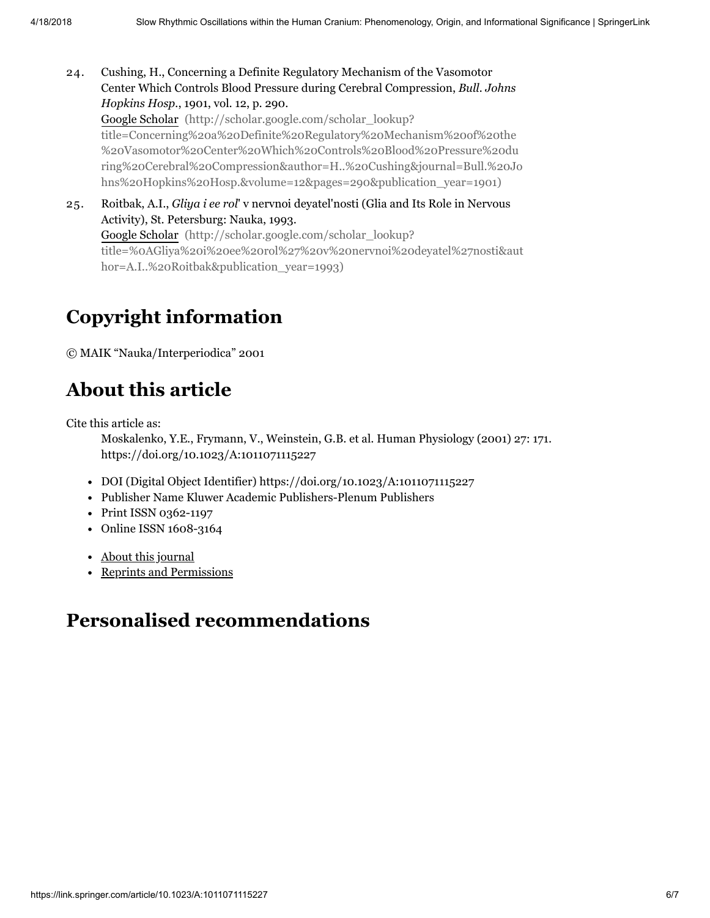- 24. Cushing, H., Concerning a Definite Regulatory Mechanism of the Vasomotor Center Which Controls Blood Pressure during Cerebral Compression, *Bull. Johns Hopkins Hosp.*, 1901, vol. 12, p. 290. Google Scholar (http://scholar.google.com/scholar\_lookup? title=Concerning%20a%20Definite%20Regulatory%20Mechanism%20of%20the %20Vasomotor%20Center%20Which%20Controls%20Blood%20Pressure%20du [ring%20Cerebral%20Compression&author=H..%20Cushing&journal=Bull.%20Jo](http://scholar.google.com/scholar_lookup?title=Concerning%20a%20Definite%20Regulatory%20Mechanism%20of%20the%20Vasomotor%20Center%20Which%20Controls%20Blood%20Pressure%20during%20Cerebral%20Compression&author=H..%20Cushing&journal=Bull.%20Johns%20Hopkins%20Hosp.&volume=12&pages=290&publication_year=1901) hns%20Hopkins%20Hosp.&volume=12&pages=290&publication\_year=1901)
- 25. Roitbak, A.I., *Gliya i ee rol*' v nervnoi deyatel'nosti (Glia and Its Role in Nervous Activity), St. Petersburg: Nauka, 1993. Google Scholar (http://scholar.google.com/scholar\_lookup? [title=%0AGliya%20i%20ee%20rol%27%20v%20nervnoi%20deyatel%27nosti&aut](http://scholar.google.com/scholar_lookup?title=%0AGliya%20i%20ee%20rol%27%20v%20nervnoi%20deyatel%27nosti&author=A.I..%20Roitbak&publication_year=1993) hor=A.I..%20Roitbak&publication\_year=1993)

# Copyright information

© MAIK "Nauka/Interperiodica" 2001

# About this article

<span id="page-5-0"></span>Cite this article as:

Moskalenko, Y.E., Frymann, V., Weinstein, G.B. et al. Human Physiology (2001) 27: 171. https://doi.org/10.1023/A:1011071115227

- DOI (Digital Object Identifier) https://doi.org/10.1023/A:1011071115227
- Publisher Name Kluwer Academic Publishers-Plenum Publishers
- Print ISSN 0362-1197
- Online ISSN 1608-3164
- About this [journal](https://www.springer.com/journal/10747/about)
- Reprints and [Permissions](https://s100.copyright.com/AppDispatchServlet?publisherName=SpringerNature&orderBeanReset=true&orderSource=SpringerLink&author=Yu.+E.+Moskalenko%2C+V.+Frymann%2C+G.+B.+Weinstein+et+al&issueNum=2&contentID=10.1023%2FA%3A1011071115227&openAccess=false&endPage=178&publicationDate=2001&startPage=171&volumeNum=27&title=Slow+Rhythmic+Oscillations+within+the+Human+Cranium%3A+Phenomenology%2C+Origin%2C+and+Informational+Significance&imprint=MAIK+%E2%80%9CNauka%2FInterperiodica%E2%80%9D&publication=0362-1197)

## Personalised recommendations